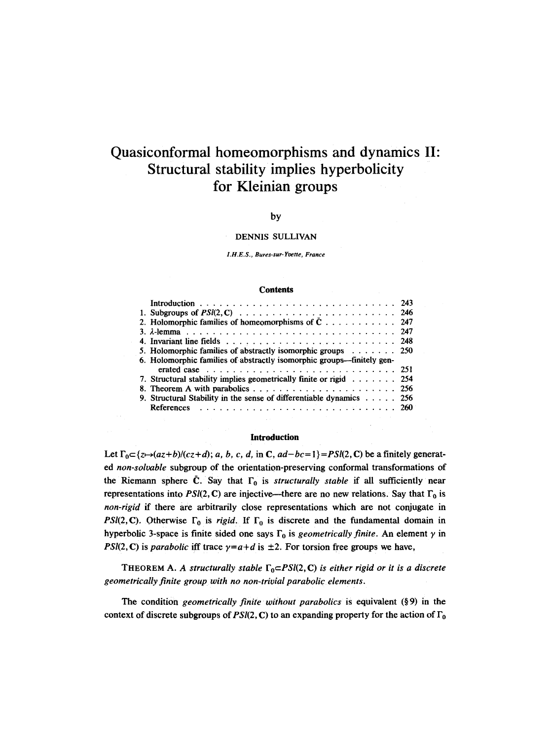# **Quasiconformal homeomorphisms and dynamics**  II: **Structural stability implies hyperbolicity for Kleinian groups**

## by

## DENNIS SULLIVAN

*I.H.E.S., Bures-sur-Yvette, France* 

#### **Contents**

| 5. Holomorphic families of abstractly isomorphic groups $\ldots \ldots$ 250<br>6. Holomorphic families of abstractly isomorphic groups—finitely gen-<br>7. Structural stability implies geometrically finite or rigid $\ldots \ldots$ . 254<br>9. Structural Stability in the sense of differentiable dynamics $\dots$ 256 |
|----------------------------------------------------------------------------------------------------------------------------------------------------------------------------------------------------------------------------------------------------------------------------------------------------------------------------|

## **Introduction**

Let  $\Gamma_0 \subset \{z \mapsto (az+b)/(cz+d); a, b, c, d, \text{ in } \mathbb{C}, ad-bc=1\} = PSI(2, \mathbb{C})$  be a finitely generated *non-solvable* subgroup of the orientation-preserving conformal transformations of the Riemann sphere  $\overline{C}$ . Say that  $\Gamma_0$  is *structurally stable* if all sufficiently near representations into *PSI(2, C)* are injective—there are no new relations. Say that  $\Gamma_0$  is *non-rigid* ff there are arbitrarily close representations which are not conjugate in *PSI(2, C).* Otherwise  $\Gamma_0$  is *rigid.* If  $\Gamma_0$  is discrete and the fundamental domain in hyperbolic 3-space is finite sided one says  $\Gamma_0$  is *geometrically finite*. An element  $\gamma$  in *PSI(2, C)* is *parabolic* iff trace  $\gamma = a+d$  is  $\pm 2$ . For torsion free groups we have,

THEOREM A. A structurally stable  $\Gamma_0 \subset PSI(2, \mathbb{C})$  *is either rigid or it is a discrete geometrically finite group with no non-trivial parabolic elements.* 

The condition *geometrically finite without parabolics* is equivalent (§9) in the context of discrete subgroups of  $PSI(2, \mathbb{C})$  to an expanding property for the action of  $\Gamma_0$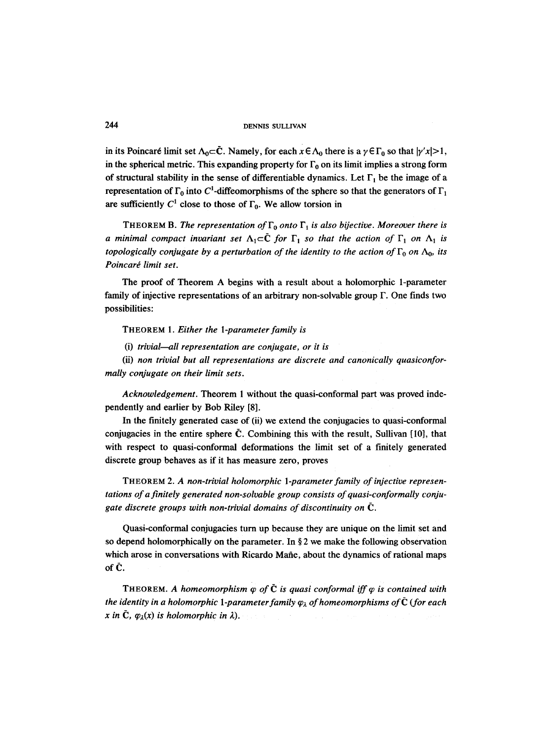in its Poincaré limit set  $\Lambda_0 \subset \bar{C}$ . Namely, for each  $x \in \Lambda_0$  there is a  $\gamma \in \Gamma_0$  so that  $|\gamma'x| > 1$ , in the spherical metric. This expanding property for  $\Gamma_0$  on its limit implies a strong form of structural stability in the sense of differentiable dynamics. Let  $\Gamma_1$  be the image of a representation of  $\Gamma_0$  into C<sup>1</sup>-diffeomorphisms of the sphere so that the generators of  $\Gamma_1$ are sufficiently  $C^1$  close to those of  $\Gamma_0$ . We allow torsion in

THEOREM B. *The representation of*  $\Gamma_0$  *onto*  $\Gamma_1$  *is also bijective. Moreover there is a minimal compact invariant set*  $\Lambda_1 \subset \tilde{C}$  *for*  $\Gamma_1$  *so that the action of*  $\Gamma_1$  *on*  $\Lambda_1$  *is topologically conjugate by a perturbation of the identity to the action of*  $\Gamma_0$  *on*  $\Lambda_0$ *, its*  $Poincaré$  limit set.

The proof of Theorem A begins with a result about a holomorphic 1-parameter family of injective representations of an arbitrary non-solvable group F. One finds two possibilities:

THEOREM 1. *Either the 1-parameter family is* 

(i) *trivial--all representation are conjugate, or it is* 

*(ii) non trivial but all representations are discrete and canonically quasiconformally conjugate on their limit sets.* 

*Acknowledgement.* Theorem 1 without the quasi-conformal part was proved independently and earlier by Bob Riley [8].

In the finitely generated case of (ii) we extend the conjugacies to quasi-conformal conjugacies in the entire sphere  $\tilde{C}$ . Combining this with the result, Sullivan [10], that with respect to quasi-conformal deformations the limit set of a finitely generated discrete group behaves as if it has measure zero, proves

THEOREM *2. A non-trivial holomorphic 1-parameter family of injective representations of a finitely generated non-solvable group consists of quasi-conformally conjugate discrete groups with non-trivial domains of discontinuity on (2.* 

Quasi-conformal conjugacies turn up because they are unique on the limit set and so depend holomorphically on the parameter. In  $\S 2$  we make the following observation which arose in conversations with Ricardo Mañe, about the dynamics of rational maps of  $\tilde{C}$ .

THEOREM. A homeomorphism  $\varphi$  of  $\bar{C}$  is quasi conformal iff  $\varphi$  is contained with *the identity in a holomorphic 1-parameter family*  $\varphi_{\lambda}$  *of homeomorphisms of*  $\tilde{C}$  (*for each x* in  $\bar{C}$ ,  $\varphi_{\lambda}(x)$  is holomorphic in  $\lambda$ ).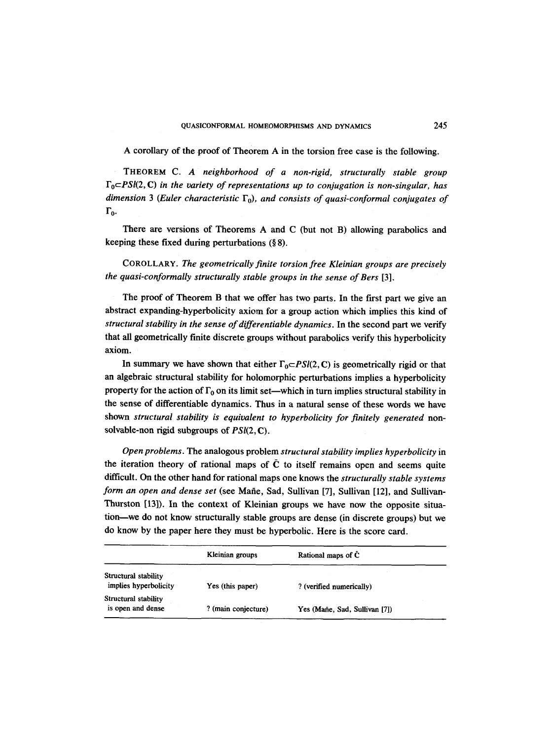#### QUASICONFORMAL HOMEOMORPHISMS AND DYNAMICS 245

A corollary of the proof of Theorem A in the torsion free case is the following.

THEOREM *C. A neighborhood of a non-rigid, structurally stable group FocPSl(2,* C) *in the variety of representations up to conjugation is non-singular, has*  dimension 3 (Euler characteristic  $\Gamma_0$ ), and consists of quasi-conformal conjugates of  $\Gamma_0$ .

There are versions of Theorems A and C (but not B) allowing parabolics and keeping these fixed during perturbations  $(\S 8)$ .

COROLLARY. *The geometrically finite torsion free Kleinian groups are precisely the quasi-conformally structurally stable groups in the sense of Bers* [3].

The proof of Theorem B that we offer has two parts. In the first part we give an abstract expanding-hyperbolicity axiom for a group action which implies this kind of *structural stability in the sense of differentiable dynamics.* In the second part we verify that all geometrically finite discrete groups without parabolics verify this hyperbolicity axiom.

In summary we have shown that either  $\Gamma_0 \subset PSl(2, \mathbb{C})$  is geometrically rigid or that an algebraic structural stability for holomorphic perturbations implies a hyperbolicity property for the action of  $\Gamma_0$  on its limit set—which in turn implies structural stability in the sense of differentiable dynamics. Thus in a natural sense of these words we have shown *structural stability is equivalent to hyperbolicity for finitely generated* nonsolvable-non rigid subgroups of *PSI(2,* C).

*Open problems.* The analogous problem *structural stability implies hyperbolicity* in the iteration theory of rational maps of  $\overline{C}$  to itself remains open and seems quite difficult. On the other hand for rational maps one knows the *structurally stable systems form an open and dense set* (see Mañe, Sad, Sullivan [7], Sullivan [12], and Sullivan-Thurston [13]). In the context of Kleinian groups we have now the opposite situation-we do not know structurally stable groups are dense (in discrete groups) but we do know by the paper here they must be hyperbolic. Here is the score card.

|                                               | Kleinian groups     | Rational maps of C            |  |
|-----------------------------------------------|---------------------|-------------------------------|--|
| Structural stability<br>implies hyperbolicity | Yes (this paper)    | ? (verified numerically)      |  |
| Structural stability<br>is open and dense     | ? (main conjecture) | Yes (Mañe, Sad, Sullivan [7]) |  |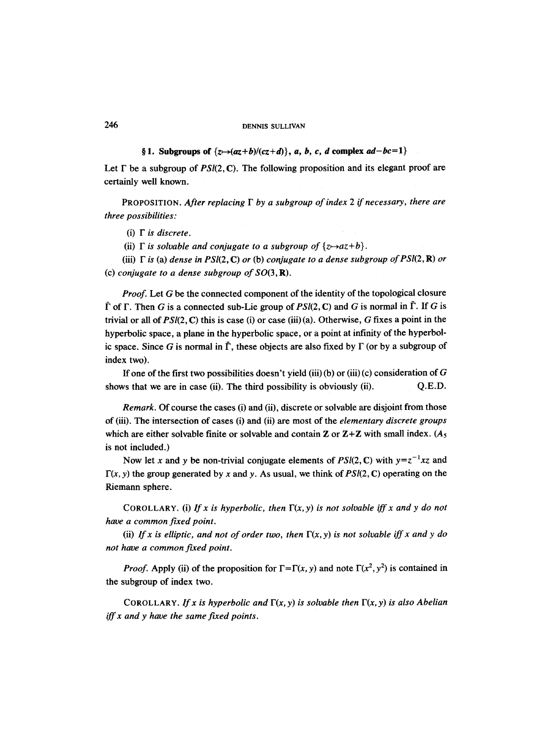§ 1. Subgroups of  $\{z \mapsto (az+b)/(cz+d)\}, a, b, c, d$  complex  $ad-bc=1\}$ 

Let  $\Gamma$  be a subgroup of  $PSI(2, \mathbb{C})$ . The following proposition and its elegant proof are certainly well known.

PROPOSITION. *After replacing F by a subgroup of index 2 if necessary, there are three possibilities:* 

 $(i)$   $\Gamma$  *is discrete.* 

(ii)  $\Gamma$  *is solvable and conjugate to a subgroup of*  $\{z \mapsto az+b\}$ .

(iii)  $\Gamma$  *is (a) dense in PSI(2, C) or (b) conjugate to a dense subgroup of PSI(2, R) or* (c) *conjugate to a dense subgroup of S0(3,* R).

*Proof.* Let G be the connected component of the identity of the topological closure  $\overline{\Gamma}$  of  $\Gamma$ . Then G is a connected sub-Lie group of  $PSI(2, \mathbb{C})$  and G is normal in  $\overline{\Gamma}$ . If G is trivial or all of *PSI(2,* C) this is case (i) or case (iii) (a). Otherwise, G fixes a point in the hyperbolic space, a plane in the hyperbolic space, or a point at infinity of the hyperbolic space. Since G is normal in  $\overline{\Gamma}$ , these objects are also fixed by  $\Gamma$  (or by a subgroup of index two).

If one of the first two possibilities doesn't yield (iii)(b) or (iii)(c) consideration of  $G$ shows that we are in case (ii). The third possibility is obviously (ii). Q.E.D.

*Remark.* Of course the cases (i) and (ii), discrete or solvable are disjoint from those of (iii). The intersection of cases (i) and (ii) are most of the *elementary discrete groups*  which are either solvable finite or solvable and contain Z or  $Z+Z$  with small index. (A<sub>5</sub> is not included.)

Now let x and y be non-trivial conjugate elements of  $PSI(2, \mathbb{C})$  with  $y=z^{-1}xz$  and  $\Gamma(x, y)$  the group generated by x and y. As usual, we think of PSI(2, C) operating on the Riemann sphere.

COROLLARY. (i) If x is hyperbolic, then  $\Gamma(x, y)$  is not solvable iff x and y do not *have a common fixed point.* 

(ii) If x is elliptic, and not of order two, then  $\Gamma(x, y)$  is not solvable iff x and y do *not have a common fixed point.* 

*Proof.* Apply (ii) of the proposition for  $\Gamma = \Gamma(x, y)$  and note  $\Gamma(x^2, y^2)$  is contained in the subgroup of index two.

COROLLARY. If x is hyperbolic and  $\Gamma(x, y)$  is solvable then  $\Gamma(x, y)$  is also Abelian *iff x and y have the same fixed points.*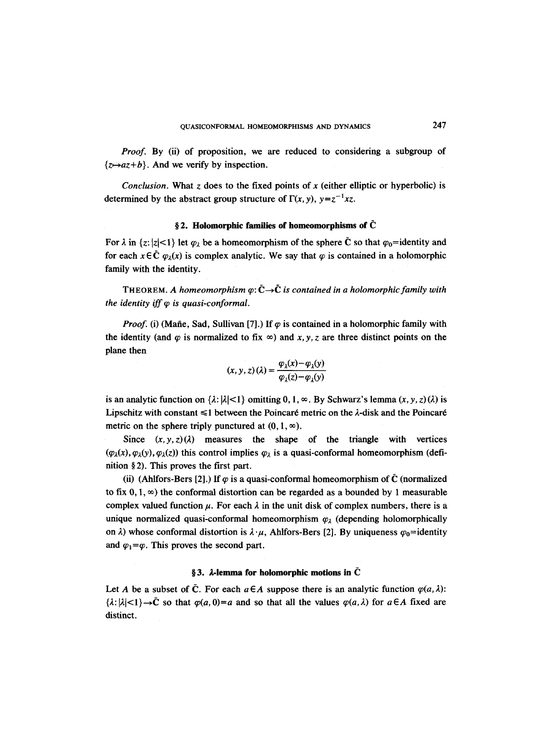*Proof.* By (ii) of proposition, we are reduced to considering a subgroup of  $\{z \rightarrow az+b\}$ . And we verify by inspection.

*Conclusion.* What z does to the fixed points of x (either elliptic or hyperbolic) is determined by the abstract group structure of  $\Gamma(x, y)$ ,  $y = z^{-1}xz$ .

## $\S$ 2. Holomorphic families of homeomorphisms of  $\tilde{\mathbf{C}}$

For  $\lambda$  in  $\{z: |z| < 1\}$  let  $\varphi_{\lambda}$  be a homeomorphism of the sphere  $\bar{C}$  so that  $\varphi_0$ =identity and for each  $x \in \bar{C}$   $\varphi_{\lambda}(x)$  is complex analytic. We say that  $\varphi$  is contained in a holomorphic family with the identity.

THEOREM. A homeomorphism  $\varphi : \bar{C} \rightarrow \tilde{C}$  is contained in a holomorphic family with *the identity iff*  $\varphi$  *is quasi-conformal.* 

*Proof.* (i) (Mañe, Sad, Sullivan [7].) If  $\varphi$  is contained in a holomorphic family with the identity (and  $\varphi$  is normalized to fix  $\infty$ ) and x, y, z are three distinct points on the plane then

$$
(x, y, z) (\lambda) = \frac{\varphi_{\lambda}(x) - \varphi_{\lambda}(y)}{\varphi_{\lambda}(z) - \varphi_{\lambda}(y)}
$$

is an analytic function on  $\{\lambda : |\lambda| < 1\}$  omitting 0, 1,  $\infty$ . By Schwarz's lemma  $(x, y, z)(\lambda)$  is Lipschitz with constant  $\leq 1$  between the Poincaré metric on the  $\lambda$ -disk and the Poincaré metric on the sphere triply punctured at  $(0, 1, \infty)$ .

Since  $(x, y, z)$  ( $\lambda$ ) measures the shape of the triangle with vertices  $(\varphi_{\lambda}(x), \varphi_{\lambda}(y), \varphi_{\lambda}(z))$  this control implies  $\varphi_{\lambda}$  is a quasi-conformal homeomorphism (definition  $\S 2$ ). This proves the first part.

(ii) (Ahlfors-Bers [2].) If  $\varphi$  is a quasi-conformal homeomorphism of  $\bar{C}$  (normalized to fix  $0, 1, \infty$ ) the conformal distortion can be regarded as a bounded by 1 measurable complex valued function  $\mu$ . For each  $\lambda$  in the unit disk of complex numbers, there is a unique normalized quasi-conformal homeomorphism  $\varphi_{\lambda}$  (depending holomorphically on  $\lambda$ ) whose conformal distortion is  $\lambda \cdot \mu$ , Ahlfors-Bers [2]. By uniqueness  $\varphi_0$ =identity and  $\varphi_1 = \varphi$ . This proves the second part.

## $\S 3.$   $\lambda$ -lemma for holomorphic motions in  $\bar{C}$

Let A be a subset of  $\tilde{C}$ . For each  $a \in A$  suppose there is an analytic function  $\varphi(a, \lambda)$ :  $\{\lambda: |\lambda| < 1\} \rightarrow \tilde{C}$  so that  $\varphi(a,0)=a$  and so that all the values  $\varphi(a,\lambda)$  for  $a \in A$  fixed are distinct.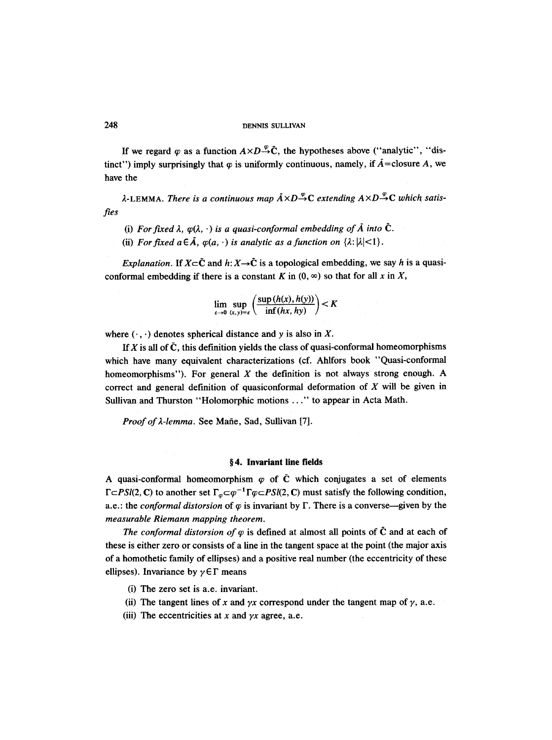If we regard  $\varphi$  as a function  $A \times D \to^{\varphi} \overline{C}$ , the hypotheses above ("analytic", "distinct") imply surprisingly that  $\varphi$  is uniformly continuous, namely, if  $\tilde{A}$ =closure A, we have the

*ties*   $\lambda$ -LEMMA. *There is a continuous map*  $\overline{A} \times D \rightarrow^{\varphi}C$  *extending*  $A \times D \rightarrow^{\varphi}C$  *which satis-*

- (i) For fixed  $\lambda$ ,  $\varphi(\lambda, \cdot)$  *is a quasi-conformal embedding of*  $\tilde{A}$  *into*  $\tilde{C}$ *.*
- (ii) *For fixed a*  $\in \overline{A}$ *,*  $\varphi(a, \cdot)$  *is analytic as a function on*  $\{\lambda : |\lambda| < 1\}$ .

*Explanation.* If  $X \subset \bar{C}$  and  $h: X \to \bar{C}$  is a topological embedding, we say h is a quasiconformal embedding if there is a constant K in  $(0, \infty)$  so that for all x in X,

$$
\lim_{\varepsilon \to 0} \sup_{(x, y) = \varepsilon} \left( \frac{\sup (h(x), h(y))}{\inf (hx, hy)} \right) < K
$$

where  $(\cdot, \cdot)$  denotes spherical distance and y is also in X.

If X is all of  $\bar{C}$ , this definition yields the class of quasi-conformal homeomorphisms which have many equivalent characterizations (cf. Ahlfors book "Quasi-conformal homeomorphisms"). For general  $X$  the definition is not always strong enough. A correct and general definition of quasiconformal deformation of X will be given in Sullivan and Thurston "Holomorphic motions ..." to appear in Acta Math.

*Proof of*  $\lambda$ *-lemma.* See Mañe, Sad, Sullivan [7].

## **w 4. Invariant line fields**

A quasi-conformal homeomorphism  $\varphi$  of  $\bar{C}$  which conjugates a set of elements *FcPSI(2, C)* to another set  $\Gamma_{\varphi} \subset \varphi^{-1} \Gamma \varphi \subset PSI(2, C)$  must satisfy the following condition, a.e.: the *conformal distorsion* of  $\varphi$  is invariant by  $\Gamma$ . There is a converse--given by the *measurable Riemann mapping theorem.* 

*The conformal distorsion of*  $\varphi$  *is defined at almost all points of*  $\tilde{C}$  *and at each of* these is either zero or consists of a line in the tangent space at the point (the major axis of a homothetic family of ellipses) and a positive real number (the eccentricity of these ellipses). Invariance by  $\gamma \in \Gamma$  means

(i) The zero set is a.e, invariant.

- (ii) The tangent lines of x and  $\gamma x$  correspond under the tangent map of  $\gamma$ , a.e.
- (iii) The eccentricities at x and  $yx$  agree, a.e.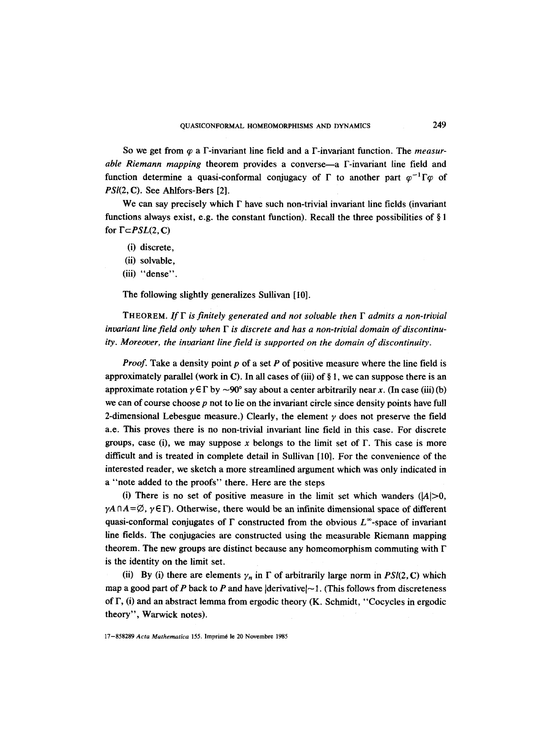So we get from  $\varphi$  a  $\Gamma$ -invariant line field and a  $\Gamma$ -invariant function. The *measurable Riemann mapping* theorem provides a converse—a  $\Gamma$ -invariant line field and function determine a quasi-conformal conjugacy of  $\Gamma$  to another part  $\varphi^{-1}\Gamma\varphi$  of *PSI(2,* C). See Ahlfors-Bers [2].

We can say precisely which  $\Gamma$  have such non-trivial invariant line fields (invariant functions always exist, e.g. the constant function). Recall the three possibilities of  $\S 1$ for  $\Gamma \subset PSL(2, \mathbb{C})$ 

- (i) discrete,
- (ii) solvable,
- (iii) "dense".

The following slightly generalizes Sullivan [10].

THEOREM. If  $\Gamma$  is finitely generated and not solvable then  $\Gamma$  admits a non-trivial *invariant line field only when F is discrete and has a non-trivial domain of discontinuity. Moreover, the invariant line field is supported on the domain of discontinuity.* 

*Proof.* Take a density point p of a set P of positive measure where the line field is approximately parallel (work in C). In all cases of (iii) of  $\S 1$ , we can suppose there is an approximate rotation  $\gamma \in \Gamma$  by  $\sim$ 90° say about a center arbitrarily near x. (In case (iii) (b) we can of course choose  $p$  not to lie on the invariant circle since density points have full 2-dimensional Lebesgue measure.) Clearly, the element  $\gamma$  does not preserve the field a.e. This proves there is no non-trivial invariant line field in this case. For discrete groups, case (i), we may suppose x belongs to the limit set of  $\Gamma$ . This case is more difficult and is treated in complete detail in Sullivan [10]. For the convenience of the interested reader, we sketch a more streamlined argument which was only indicated in a "note added to the proofs" there. Here are the steps

(i) There is no set of positive measure in the limit set which wanders  $(|A|>0$ ,  $\gamma A \cap A = \emptyset$ ,  $\gamma \in \Gamma$ ). Otherwise, there would be an infinite dimensional space of different quasi-conformal conjugates of  $\Gamma$  constructed from the obvious  $L^{\infty}$ -space of invariant line fields. The conjugacies are constructed using the measurable Riemann mapping theorem. The new groups are distinct because any homeomorphism commuting with F is the identity on the limit set.

(ii) By (i) there are elements  $\gamma_n$  in  $\Gamma$  of arbitrarily large norm in *PSI(2, C)* which map a good part of P back to P and have  $|derivative| \sim 1$ . (This follows from discreteness of  $\Gamma$ , (i) and an abstract lemma from ergodic theory (K. Schmidt, "Cocycles in ergodic theory", Warwick notes).

17-858289 *Acta Mathematica* 155. Imprim6 le 20 Novembre 1985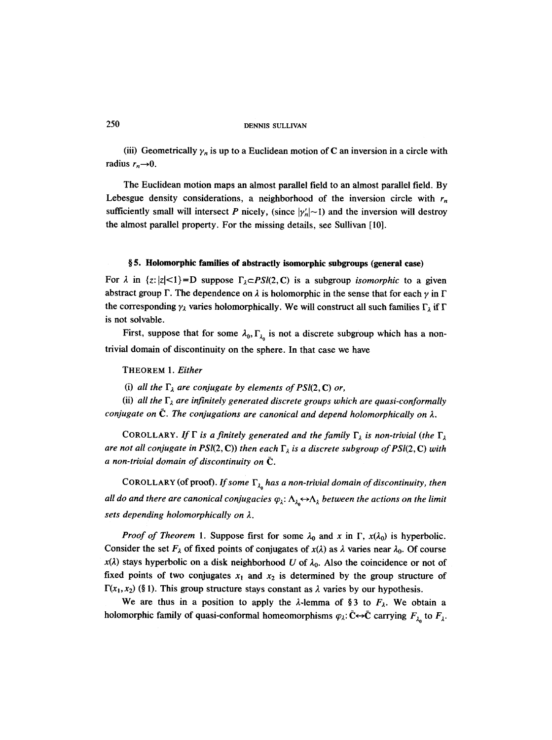(iii) Geometrically  $\gamma_n$  is up to a Euclidean motion of C an inversion in a circle with radius  $r_n \rightarrow 0$ .

The Euclidean motion maps an almost parallel field to an almost parallel field. By Lebesgue density considerations, a neighborhood of the inversion circle with  $r_n$ sufficiently small will intersect P nicely, (since  $|\gamma'_n|$  -1) and the inversion will destroy the almost parallel property. For the missing details, see Sullivan [10].

## **w 5. Holomorphic families of abstractly isomorphic subgroups (general case)**

For  $\lambda$  in  $\{z:|z|<1\}$  =D suppose  $\Gamma_{\lambda} \subset PSL(2,\mathbb{C})$  is a subgroup *isomorphic* to a given abstract group  $\Gamma$ . The dependence on  $\lambda$  is holomorphic in the sense that for each  $\gamma$  in  $\Gamma$ the corresponding  $\gamma_{\lambda}$  varies holomorphically. We will construct all such families  $\Gamma_{\lambda}$  if  $\Gamma$ is not solvable.

First, suppose that for some  $\lambda_0$ ,  $\Gamma_{\lambda_0}$  is not a discrete subgroup which has a nontrivial domain of discontinuity on the sphere. In that case we have

THEOREM 1. *Either* 

(i) *all the*  $\Gamma_{\lambda}$  *are conjugate by elements of PSl(2, C) or,* 

(ii) all the  $\Gamma_{\lambda}$  are infinitely generated discrete groups which are quasi-conformally *conjugate on*  $\tilde{C}$ . The conjugations are canonical and depend holomorphically on  $\lambda$ .

COROLLARY. If  $\Gamma$  is a finitely generated and the family  $\Gamma_{\lambda}$  is non-trivial (the  $\Gamma_{\lambda}$ *are not all conjugate in PSI(2, C)) then each*  $\Gamma_{\lambda}$  *is a discrete subgroup of PSI(2, C) with a non-trivial domain of discontinuity on (2.* 

COROLLARY (of proof). *If some*  $\Gamma_{\lambda_0}$  *has a non-trivial domain of discontinuity, then all do and there are canonical conjugacies*  $\varphi_{\lambda}$ :  $\Lambda_{\lambda_0} \leftrightarrow \Lambda_{\lambda}$  *between the actions on the limit sets depending holomorphically on 2.* 

*Proof of Theorem 1.* Suppose first for some  $\lambda_0$  and x in  $\Gamma$ ,  $x(\lambda_0)$  is hyperbolic. Consider the set  $F_{\lambda}$  of fixed points of conjugates of  $x(\lambda)$  as  $\lambda$  varies near  $\lambda_0$ . Of course  $x(\lambda)$  stays hyperbolic on a disk neighborhood U of  $\lambda_0$ . Also the coincidence or not of fixed points of two conjugates  $x_1$  and  $x_2$  is determined by the group structure of  $\Gamma(x_1, x_2)$  (§ 1). This group structure stays constant as  $\lambda$  varies by our hypothesis.

We are thus in a position to apply the  $\lambda$ -lemma of §3 to  $F_{\lambda}$ . We obtain a holomorphic family of quasi-conformal homeomorphisms  $\varphi_{\lambda} : \tilde{\mathbf{C}} \leftrightarrow \tilde{\mathbf{C}}$  carrying  $F_{\lambda}$  to  $F_{\lambda}$ .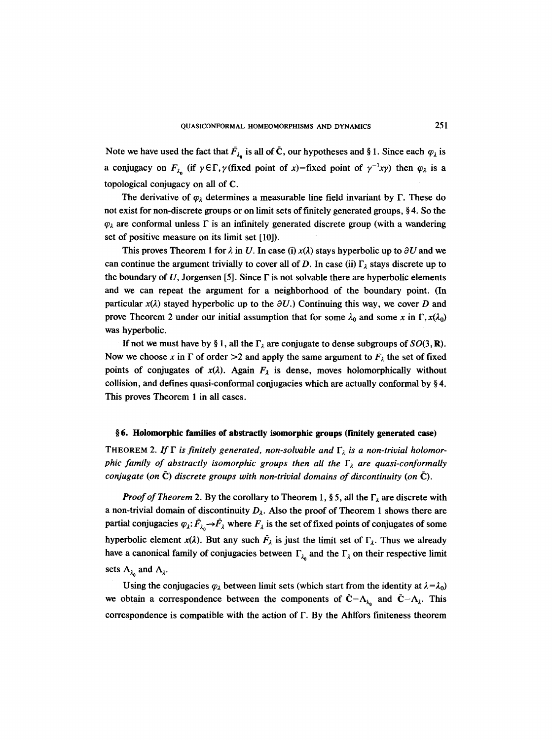Note we have used the fact that  $\bar{F}_{\lambda_0}$  is all of  $\bar{C}$ , our hypotheses and § 1. Since each  $\varphi_{\lambda}$  is a conjugacy on  $F_{\lambda_0}$  (if  $\gamma \in \Gamma$ ,  $\gamma$ ) (fixed point of  $\chi$ )=fixed point of  $\gamma^{-1}x\gamma$ ) then  $\varphi_{\lambda}$  is a topological conjugacy on all of C.

The derivative of  $\varphi_{\lambda}$  determines a measurable line field invariant by  $\Gamma$ . These do not exist for non-discrete groups or on limit sets of finitely generated groups,  $\S 4$ . So the  $\varphi_{\lambda}$  are conformal unless  $\Gamma$  is an infinitely generated discrete group (with a wandering set of positive measure on its limit set [10]).

This proves Theorem 1 for  $\lambda$  in U. In case (i)  $x(\lambda)$  stays hyperbolic up to  $\partial U$  and we can continue the argument trivially to cover all of D. In case (ii)  $\Gamma_1$  stays discrete up to the boundary of U, Jorgensen [5]. Since  $\Gamma$  is not solvable there are hyperbolic elements and we can repeat the argument for a neighborhood of the boundary point. (In particular  $x(\lambda)$  stayed hyperbolic up to the  $\partial U$ .) Continuing this way, we cover D and prove Theorem 2 under our initial assumption that for some  $\lambda_0$  and some x in  $\Gamma$ ,  $x(\lambda_0)$ was hyperbolic.

If not we must have by § 1, all the  $\Gamma_{\lambda}$  are conjugate to dense subgroups of *SO*(3, **R**). Now we choose x in  $\Gamma$  of order  $>2$  and apply the same argument to  $F_{\lambda}$  the set of fixed points of conjugates of  $x(\lambda)$ . Again  $F_{\lambda}$  is dense, moves holomorphically without collision, and defines quasi-conformal conjugacies which are actually conformal by  $\S 4$ . This proves Theorem 1 in all cases.

## **w 6. Holomorphic families of abstractly isomorphic groups (finitely generated case)**

THEOREM 2. If  $\Gamma$  is finitely generated, non-solvable and  $\Gamma_{\lambda}$  is a non-trivial holomor*phic family of abstractly isomorphic groups then all the*  $\Gamma_{\lambda}$  are quasi-conformally *conjugate (on*  $\tilde{C}$ *) discrete groups with non-trivial domains of discontinuity (on*  $\tilde{C}$ *).* 

*Proof of Theorem* 2. By the corollary to Theorem 1, § 5, all the  $\Gamma_{\lambda}$  are discrete with a non-trivial domain of discontinuity  $D_{\lambda}$ . Also the proof of Theorem 1 shows there are partial conjugacies  $\varphi_{\lambda}: \bar{F}_{\lambda} \to \bar{F}_{\lambda}$  where  $F_{\lambda}$  is the set of fixed points of conjugates of some hyperbolic element  $x(\lambda)$ . But any such  $\overline{F}_{\lambda}$  is just the limit set of  $\Gamma_{\lambda}$ . Thus we already have a canonical family of conjugacies between  $\Gamma_{\lambda}$  and the  $\Gamma_{\lambda}$  on their respective limit sets  $\Lambda_{\lambda_0}$  and  $\Lambda_{\lambda}$ .

Using the conjugacies  $\varphi_{\lambda}$  between limit sets (which start from the identity at  $\lambda = \lambda_0$ ) we obtain a correspondence between the components of  $\bar{C}-\Lambda_{\lambda_0}$  and  $\bar{C}-\Lambda_1$ . This correspondence is compatible with the action of  $\Gamma$ . By the Ahlfors finiteness theorem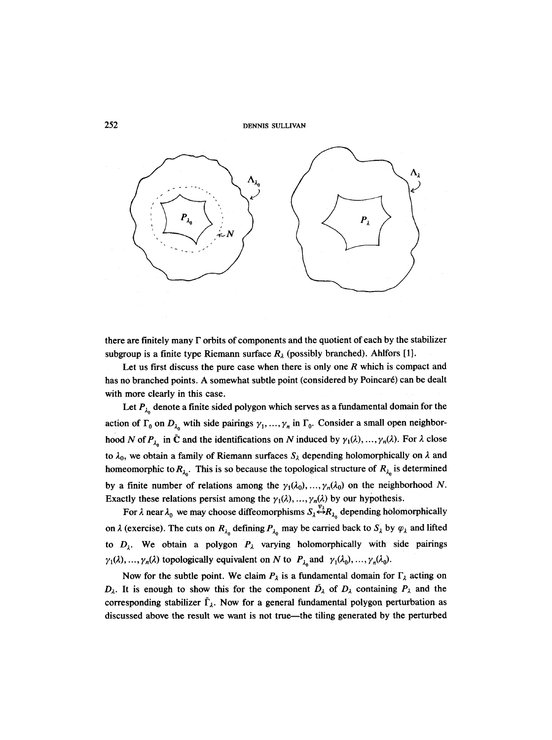

there are finitely many  $\Gamma$  orbits of components and the quotient of each by the stabilizer subgroup is a finite type Riemann surface  $R_{\lambda}$  (possibly branched). Ahlfors [1].

Let us first discuss the pure case when there is only one  $R$  which is compact and has no branched points. A somewhat subtle point (considered by Poincaré) can be dealt with more clearly in this case.

Let  $P_{\lambda_0}$  denote a finite sided polygon which serves as a fundamental domain for the action of  $\Gamma_0$  on  $D_{\lambda_0}$  wtih side pairings  $\gamma_1, \ldots, \gamma_n$  in  $\Gamma_0$ . Consider a small open neighborhood N of  $P_{\lambda_0}$  in  $\bar{C}$  and the identifications on N induced by  $\gamma_1(\lambda), \ldots, \gamma_n(\lambda)$ . For  $\lambda$  close to  $\lambda_0$ , we obtain a family of Riemann surfaces  $S_\lambda$  depending holomorphically on  $\lambda$  and homeomorphic to  $R_{\lambda_0}$ . This is so because the topological structure of  $R_{\lambda_0}$  is determined by a finite number of relations among the  $\gamma_1(\lambda_0), \ldots, \gamma_n(\lambda_0)$  on the neighborhood N. Exactly these relations persist among the  $\gamma_1(\lambda), \ldots, \gamma_n(\lambda)$  by our hypothesis.

For  $\lambda$  near  $\lambda_0$  we may choose diffeomorphisms  $S_{\lambda} \stackrel{\psi_{\lambda}}{\leftrightarrow} R_{\lambda_0}$  depending holomorphically on  $\lambda$  (exercise). The cuts on  $R_{\lambda_0}$  defining  $P_{\lambda_0}$  may be carried back to  $S_{\lambda}$  by  $\varphi_{\lambda}$  and lifted to  $D_{\lambda}$ . We obtain a polygon  $P_{\lambda}$  varying holomorphically with side pairings  $\gamma_1(\lambda), ..., \gamma_n(\lambda)$  topologically equivalent on N to  $P_{\lambda_0}$  and  $\gamma_1(\lambda_0), ..., \gamma_n(\lambda_0)$ .

Now for the subtle point. We claim  $P_{\lambda}$  is a fundamental domain for  $\Gamma_{\lambda}$  acting on  $D_{\lambda}$ . It is enough to show this for the component  $D_{\lambda}$  of  $D_{\lambda}$  containing  $P_{\lambda}$  and the corresponding stabilizer  $\bar{\Gamma}_{\lambda}$ . Now for a general fundamental polygon perturbation as discussed above the result we want is not true—the tiling generated by the perturbed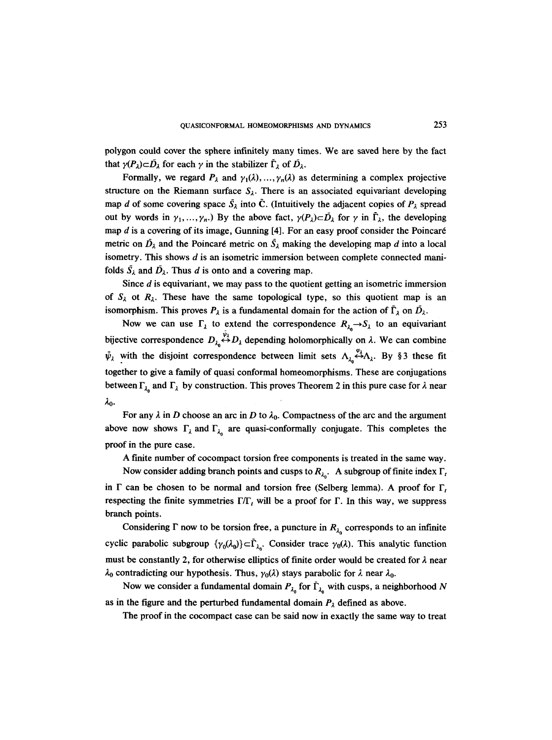polygon could cover the sphere infinitely many times. We are saved here by the fact that  $\gamma(P_{\lambda})\subset \bar{D}_{\lambda}$  for each  $\gamma$  in the stabilizer  $\bar{\Gamma}_{\lambda}$  of  $\bar{D}_{\lambda}$ .

Formally, we regard  $P_{\lambda}$  and  $\gamma_1(\lambda), \ldots, \gamma_n(\lambda)$  as determining a complex projective structure on the Riemann surface  $S_{\lambda}$ . There is an associated equivariant developing map d of some covering space  $\bar{S}_\lambda$  into  $\bar{C}$ . (Intuitively the adjacent copies of  $P_\lambda$  spread out by words in  $\gamma_1, ..., \gamma_n$ . By the above fact,  $\gamma(P_\lambda) \subset \overline{D}_\lambda$  for  $\gamma$  in  $\overline{\Gamma}_\lambda$ , the developing map  $d$  is a covering of its image, Gunning  $[4]$ . For an easy proof consider the Poincaré metric on  $\bar{D}_\lambda$  and the Poincaré metric on  $\bar{S}_\lambda$  making the developing map d into a local isometry. This shows  $d$  is an isometric immersion between complete connected manifolds  $\bar{S}_\lambda$  and  $\bar{D}_\lambda$ . Thus d is onto and a covering map.

Since  $d$  is equivariant, we may pass to the quotient getting an isometric immersion of  $S_{\lambda}$  ot  $R_{\lambda}$ . These have the same topological type, so this quotient map is an isomorphism. This proves  $P_{\lambda}$  is a fundamental domain for the action of  $\bar{\Gamma}_{\lambda}$  on  $\bar{D}_{\lambda}$ .

Now we can use  $\Gamma_{\lambda}$  to extend the correspondence  $R_{\lambda} \rightarrow S_{\lambda}$  to an equivariant bijective correspondence  $D_{\lambda} \stackrel{\psi_{\lambda}}{\leftrightarrow} D_{\lambda}$  depending holomorphically on  $\lambda$ . We can combine  $\bar{\psi}_{\lambda}$  with the disjoint correspondence between limit sets  $\Lambda_{\lambda} \stackrel{\varphi_{\lambda}}{\leftrightarrow} \Lambda_{\lambda}$ . By § 3 these fit together to give a family of quasi conformal homeomorphisms. These are conjugations between  $\Gamma_{\lambda_0}$  and  $\Gamma_{\lambda}$  by construction. This proves Theorem 2 in this pure case for  $\lambda$  near  $\lambda_0$ .

For any  $\lambda$  in D choose an arc in D to  $\lambda_0$ . Compactness of the arc and the argument above now shows  $\Gamma_{\lambda}$  and  $\Gamma_{\lambda_0}$  are quasi-conformally conjugate. This completes the proof in the pure case.

A finite number of cocompact torsion free components is treated in the same way.

Now consider adding branch points and cusps to  $R_{\lambda_0}$ . A subgroup of finite index  $\Gamma_t$ in  $\Gamma$  can be chosen to be normal and torsion free (Selberg lemma). A proof for  $\Gamma$ , respecting the finite symmetries  $\Gamma/\Gamma$ , will be a proof for  $\Gamma$ . In this way, we suppress branch points.

Considering  $\Gamma$  now to be torsion free, a puncture in  $R_{\lambda_0}$  corresponds to an infinite cyclic parabolic subgroup  $\{\gamma_0(\lambda_0)\}\subset \overline{\Gamma}_{\lambda_0}$ . Consider trace  $\gamma_0(\lambda)$ . This analytic function must be constantly 2, for otherwise elliptics of finite order would be created for  $\lambda$  near  $\lambda_0$  contradicting our hypothesis. Thus,  $\gamma_0(\lambda)$  stays parabolic for  $\lambda$  near  $\lambda_0$ .

Now we consider a fundamental domain  $P_{\lambda_0}$  for  $\overline{\Gamma}_{\lambda_0}$  with cusps, a neighborhood N as in the figure and the perturbed fundamental domain  $P_{\lambda}$  defined as above.

The proof in the cocompact case can be said now in exactly the same way to treat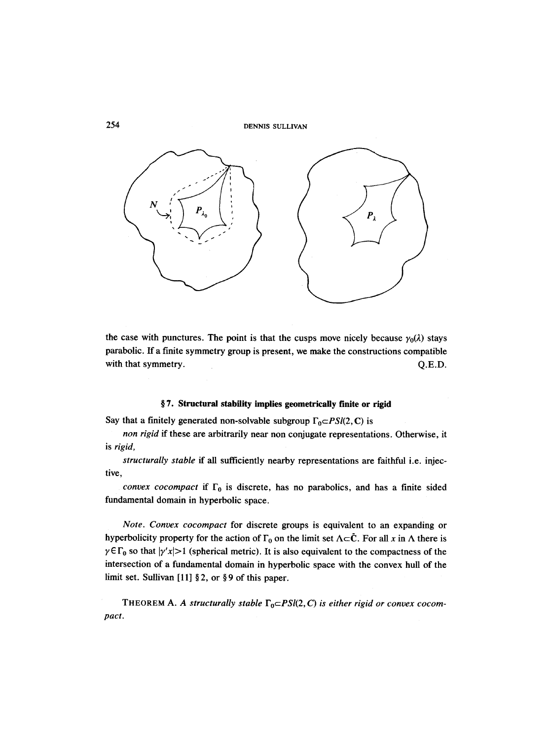

the case with punctures. The point is that the cusps move nicely because  $\gamma_0(\lambda)$  stays parabolic. If a finite symmetry group is present, we make the constructions compatible with that symmetry. Q.E.D.

## **w 7. Structural stability implies geometrically finite or rigid**

Say that a finitely generated non-solvable subgroup  $\Gamma_0 \subset PSI(2, \mathbb{C})$  is

*non rigid* if these are arbitrarily near non conjugate representations. Otherwise, it is *rigid,* 

*structurally stable if* all sufficiently nearby representations are faithful i.e. injective,

*convex cocompact* if  $\Gamma_0$  is discrete, has no parabolics, and has a finite sided fundamental domain in hyperbolic space.

*Note. Convex cocompact* for discrete groups is equivalent to an expanding or hyperbolicity property for the action of  $\Gamma_0$  on the limit set  $\Lambda \subset \tilde{C}$ . For all x in  $\Lambda$  there is  $\gamma \in \Gamma_0$  so that  $|\gamma'x| > 1$  (spherical metric). It is also equivalent to the compactness of the intersection of a fundamental domain in hyperbolic space with the convex hull of the limit set. Sullivan [11]  $\S 2$ , or  $\S 9$  of this paper.

THEOREM A. A structurally stable  $\Gamma_0 \subset PSI(2, C)$  is either rigid or convex cocom*pact.*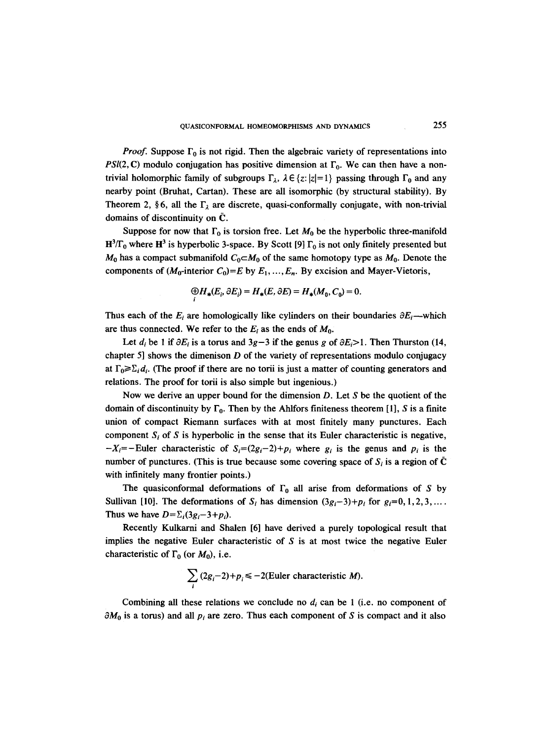*Proof.* Suppose  $\Gamma_0$  is not rigid. Then the algebraic variety of representations into *PSI(2, C)* modulo conjugation has positive dimension at  $\Gamma_0$ . We can then have a nontrivial holomorphic family of subgroups  $\Gamma_{\lambda}$ ,  $\lambda \in \{z: |z|=1\}$  passing through  $\Gamma_0$  and any nearby point (Bruhat, Cartan). These are all isomorphic (by structural stability). By Theorem 2, §6, all the  $\Gamma_{\lambda}$  are discrete, quasi-conformally conjugate, with non-trivial domains of discontinuity on  $\tilde{C}$ .

Suppose for now that  $\Gamma_0$  is torsion free. Let  $M_0$  be the hyperbolic three-manifold  $H^3/\Gamma_0$  where  $H^3$  is hyperbolic 3-space. By Scott [9]  $\Gamma_0$  is not only finitely presented but  $M_0$  has a compact submanifold  $C_0 \subset M_0$  of the same homotopy type as  $M_0$ . Denote the components of  $(M_0$ -interior  $C_0$ =E by  $E_1, ..., E_n$ . By excision and Mayer-Vietoris,

$$
\bigoplus_i H_*(E_i, \partial E_i) = H_*(E, \partial E) = H_*(M_0, C_0) = 0.
$$

Thus each of the  $E_i$  are homologically like cylinders on their boundaries  $\partial E_i$ —which are thus connected. We refer to the  $E_i$  as the ends of  $M_0$ .

Let  $d_i$  be 1 if  $\partial E_i$  is a torus and  $3g-3$  if the genus g of  $\partial E_i > 1$ . Then Thurston (14, chapter 5] shows the dimenison  $D$  of the variety of representations modulo conjugacy at  $\Gamma_0 \geq \sum_i d_i$ . (The proof if there are no torii is just a matter of counting generators and relations. The proof for torii is also simple but ingenious.)

Now we derive an upper bound for the dimension  $D$ . Let  $S$  be the quotient of the domain of discontinuity by  $\Gamma_0$ . Then by the Ahlfors finiteness theorem [1], S is a finite union of compact Riemann surfaces with at most finitely many punctures. Each component  $S_i$  of S is hyperbolic in the sense that its Euler characteristic is negative,  $-X_i=-Euler$  characteristic of  $S_i=(2g_i-2)+p_i$  where  $g_i$  is the genus and  $p_i$  is the number of punctures. (This is true because some covering space of  $S_i$  is a region of  $\bar{C}$ with infinitely many frontier points.)

The quasiconformal deformations of  $\Gamma_0$  all arise from deformations of S by Sullivan [10]. The deformations of  $S_i$  has dimension  $(3g_i-3)+p_i$  for  $g_i=0,1,2,3,...$ Thus we have  $D=\sum_i(3g_i-3+p_i)$ .

Recently Kulkarni and Shalen [6] have derived a purely topological result that implies the negative Euler characteristic of  $S$  is at most twice the negative Euler characteristic of  $\Gamma_0$  (or  $M_0$ ), i.e.

$$
\sum_i (2g_i - 2) + p_i \le -2
$$
(Euler characteristic *M*).

Combining all these relations we conclude no  $d_i$  can be 1 (i.e. no component of  $\partial M_0$  is a torus) and all  $p_i$  are zero. Thus each component of S is compact and it also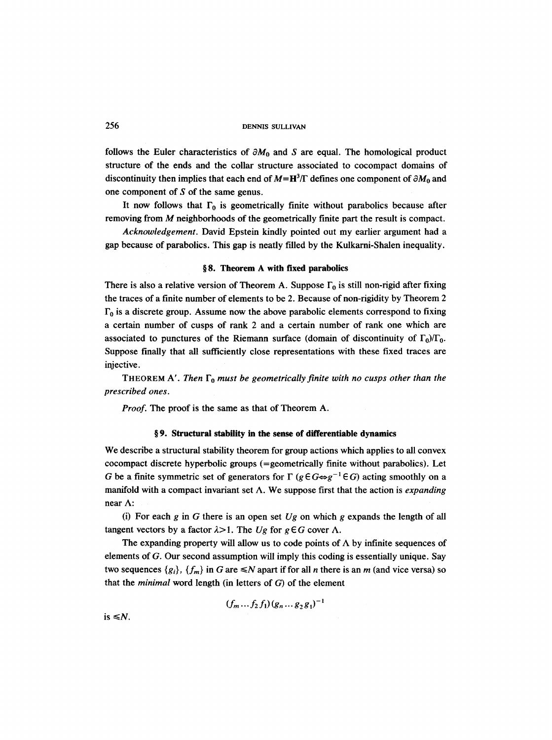follows the Euler characteristics of  $\partial M_0$  and S are equal. The homological product structure of the ends and the collar structure associated to cocompact domains of discontinuity then implies that each end of  $M=H^3/\Gamma$  defines one component of  $\partial M_0$  and one component of S of the same genus.

It now follows that  $\Gamma_0$  is geometrically finite without parabolics because after removing from M neighborhoods of the geometrically finite part the result is compact.

*Acknowledgement.* David Epstein kindly pointed out my earlier argument had a gap because of parabolics. This gap is neatly filled by the Kulkarni-Shalen inequality.

## **w 8. Theorem A with fixed parabolics**

There is also a relative version of Theorem A. Suppose  $\Gamma_0$  is still non-rigid after fixing the traces of a finite number of elements to be 2. Because of non-rigidity by Theorem 2  $\Gamma_0$  is a discrete group. Assume now the above parabolic elements correspond to fixing a certain number of cusps of rank 2 and a certain number of rank one which are associated to punctures of the Riemann surface (domain of discontinuity of  $\Gamma_0/\Gamma_0$ . Suppose finally that all sufficiently close representations with these fixed traces are injective.

THEOREM A'. Then  $\Gamma_0$  must be geometrically finite with no cusps other than the *prescribed ones.* 

*Proof.* The proof is the same as that of Theorem A.

## **w 9. Structural stability in the sense of differentiable dynamics**

We describe a structural stability theorem for group actions which applies to all convex cocompact discrete hyperbolic groups (=geometrically finite without parabolics). Let G be a finite symmetric set of generators for  $\Gamma$  ( $g \in G \Leftrightarrow g^{-1} \in G$ ) acting smoothly on a manifold with a compact invariant set A. We suppose first that the action is *expanding*  near A:

(i) For each g in G there is an open set  $Ug$  on which g expands the length of all tangent vectors by a factor  $\lambda > 1$ . The *Ug* for  $g \in G$  cover  $\Lambda$ .

The expanding property will allow us to code points of  $\Lambda$  by infinite sequences of elements of G. Our second assumption will imply this coding is essentially unique. Say two sequences  $\{g_i\}$ ,  $\{f_m\}$  in G are  $\leq N$  apart if for all *n* there is an *m* (and vice versa) so that the *minimal* word length (in letters of G) of the element

 $(f_m \dots f_2 f_1)(g_n \dots g_2 g_1)^{-1}$ 

is  $\leq N$ .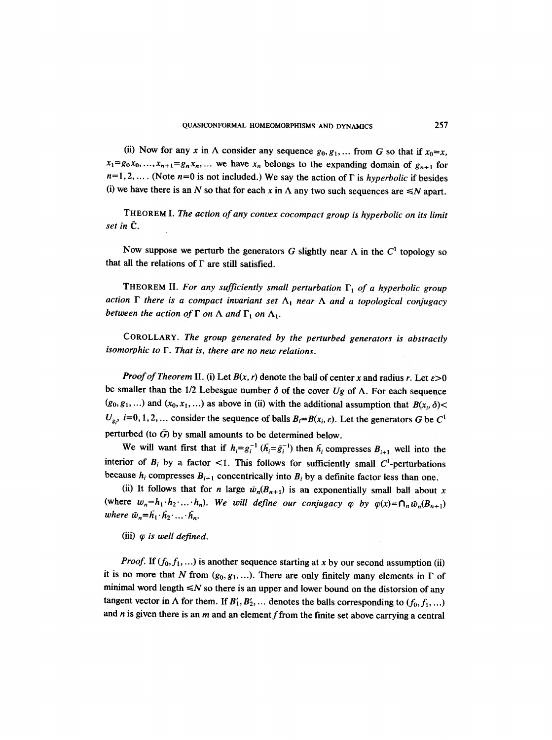(ii) Now for any x in  $\Lambda$  consider any sequence  $g_0, g_1, \ldots$  from G so that if  $x_0=x$ ,  $x_1 = g_0 x_0, \ldots, x_{n+1} = g_n x_n, \ldots$  we have  $x_n$  belongs to the expanding domain of  $g_{n+1}$  for  $n=1,2,...$  (Note  $n=0$  is not included.) We say the action of  $\Gamma$  is *hyperbolic* if besides (i) we have there is an N so that for each x in  $\Lambda$  any two such sequences are  $\leq N$  apart.

THEOREM I. *The action of any convex cocompact group is hyperbolic on its limit set in*  $\bar{C}$ .

Now suppose we perturb the generators G slightly near  $\Lambda$  in the  $C^1$  topology so that all the relations of  $\Gamma$  are still satisfied.

THEOREM II. For any sufficiently small perturbation  $\Gamma_1$  of a hyperbolic group action  $\Gamma$  there is a compact invariant set  $\Lambda_1$  *near*  $\Lambda$  and a topological conjugacy *between the action of*  $\Gamma$  *on*  $\Lambda$  *and*  $\Gamma$ <sub>1</sub> *on*  $\Lambda$ <sub>1</sub>*.* 

COROLLARY. *The group generated by the perturbed generators is abstractly isomorphic to F. That is, there are no new relations.* 

*Proof of Theorem II. (i)* Let  $B(x, r)$  denote the ball of center x and radius r. Let  $\varepsilon > 0$ be smaller than the 1/2 Lebesgue number  $\delta$  of the cover *Ug* of  $\Lambda$ . For each sequence  $(g_0, g_1, \ldots)$  and  $(x_0, x_1, \ldots)$  as above in (ii) with the additional assumption that  $B(x_i, \delta)$  $U_{g_i}$ , *i*=0, 1, 2, ... consider the sequence of balls  $B_i=B(x_i, \varepsilon)$ . Let the generators G be C<sup>1</sup> perturbed (to  $\bar{G}$ ) by small amounts to be determined below.

We will want first that if  $h_i = g_i^{-1}$  ( $\bar{h}_i = \bar{g}_i^{-1}$ ) then  $\bar{h}_i$  compresses  $B_{i+1}$  well into the interior of  $B_i$  by a factor <1. This follows for sufficiently small  $C^1$ -perturbations because  $h_i$  compresses  $B_{i+1}$  concentrically into  $B_i$  by a definite factor less than one.

(ii) It follows that for *n* large  $\bar{w}_n(B_{n+1})$  is an exponentially small ball about x (where  $w_n=h_1\cdot h_2\cdot\ldots\cdot h_n$ ). We will define our conjugacy  $\varphi$  by  $\varphi(x)=\bigcap_n\bar{w}_n(B_{n+1})$ *where*  $\bar{w}_n = \bar{h}_1 \cdot \bar{h}_2 \cdot \ldots \cdot \bar{h}_n$ .

(iii)  $\varphi$  *is well defined.* 

*Proof.* If  $(f_0, f_1, \ldots)$  is another sequence starting at x by our second assumption (ii) it is no more that N from  $(g_0, g_1, \ldots)$ . There are only finitely many elements in  $\Gamma$  of minimal word length  $\leq N$  so there is an upper and lower bound on the distorsion of any tangent vector in  $\Lambda$  for them. If  $B'_1, B'_2, \ldots$  denotes the balls corresponding to  $(f_0, f_1, \ldots)$ and  $n$  is given there is an  $m$  and an element f from the finite set above carrying a central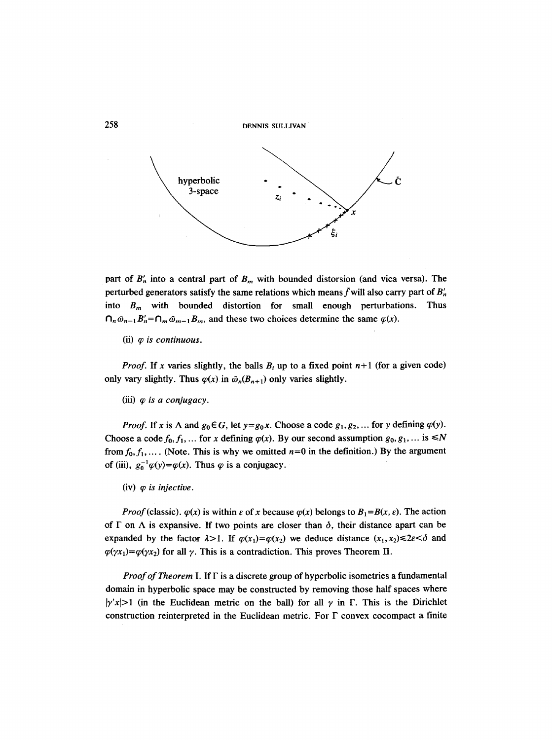

part of  $B'_n$  into a central part of  $B_m$  with bounded distorsion (and vica versa). The perturbed generators satisfy the same relations which means f will also carry part of  $B'_n$ into  $B_m$  with bounded distortion for small enough perturbations. Thus  $\bigcap_{n \bar{\omega}_{n-1}} B'_n = \bigcap_{m \bar{\omega}_{m-1}} B_m$ , and these two choices determine the same  $\varphi(x)$ .

(ii)  $\varphi$  *is continuous.* 

*Proof.* If x varies slightly, the balls  $B_i$  up to a fixed point  $n+1$  (for a given code) only vary slightly. Thus  $\varphi(x)$  in  $\bar{\omega}_n(B_{n+1})$  only varies slightly.

(iii)  $\varphi$  *is a conjugacy.* 

*Proof.* If x is  $\Lambda$  and  $g_0 \in G$ , let  $y = g_0 x$ . Choose a code  $g_1, g_2, \ldots$  for y defining  $\varphi(y)$ . Choose a code  $f_0, f_1, \ldots$  for x defining  $\varphi(x)$ . By our second assumption  $g_0, g_1, \ldots$  is  $\leq N$ from  $f_0, f_1, \ldots$ . (Note. This is why we omitted  $n=0$  in the definition.) By the argument of (iii),  $g_0^{-1}\varphi(y)=\varphi(x)$ . Thus  $\varphi$  is a conjugacy.

 $(iv)$   $\varphi$  *is injective.* 

*Proof* (classic).  $\varphi(x)$  is within  $\varepsilon$  of x because  $\varphi(x)$  belongs to  $B_1 = B(x, \varepsilon)$ . The action of  $\Gamma$  on  $\Lambda$  is expansive. If two points are closer than  $\delta$ , their distance apart can be expanded by the factor  $\lambda > 1$ . If  $\varphi(x_1) = \varphi(x_2)$  we deduce distance  $(x_1, x_2) \leq 2\varepsilon < \delta$  and  $\varphi(\gamma x_1) = \varphi(\gamma x_2)$  for all  $\gamma$ . This is a contradiction. This proves Theorem II.

*Proof of Theorem* I. If F is a discrete group of hyperbolic isometries a fundamental domain in hyperbolic space may be constructed by removing those half spaces where  $|y/x|>1$  (in the Euclidean metric on the ball) for all  $\gamma$  in  $\Gamma$ . This is the Dirichlet construction reinterpreted in the Euclidean metric. For  $\Gamma$  convex cocompact a finite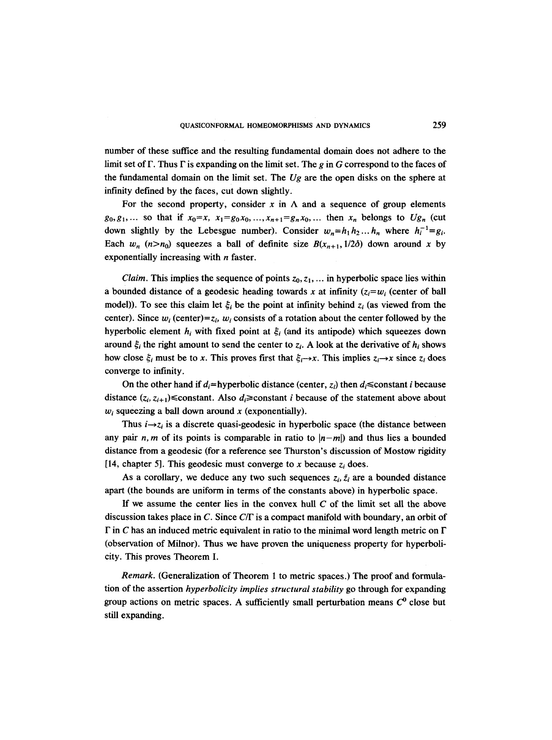number of these suffice and the resulting fundamental domain does not adhere to the limit set of  $\Gamma$ . Thus  $\Gamma$  is expanding on the limit set. The g in G correspond to the faces of the fundamental domain on the limit set. The *Ug* are the open disks on the sphere at infinity defined by the faces, cut down slightly.

For the second property, consider x in  $\Lambda$  and a sequence of group elements  $g_0, g_1, \ldots$  so that if  $x_0 = x$ ,  $x_1 = g_0 x_0, \ldots, x_{n+1} = g_n x_0, \ldots$  then  $x_n$  belongs to  $Ug_n$  (cut down slightly by the Lebesgue number). Consider  $w_n=h_1h_2...h_n$  where  $h_i^{-1}=g_i$ . Each  $w_n$  (n>n<sub>0</sub>) squeezes a ball of definite size  $B(x_{n+1}, 1/2\delta)$  down around x by exponentially increasing with  $n$  faster.

*Claim.* This implies the sequence of points  $z_0, z_1, \ldots$  in hyperbolic space lies within a bounded distance of a geodesic heading towards x at infinity  $(z_i = w_i$  (center of ball model)). To see this claim let  $\xi_i$  be the point at infinity behind  $z_i$  (as viewed from the center). Since  $w_i$  (center)= $z_i$ ,  $w_i$  consists of a rotation about the center followed by the hyperbolic element  $h_i$  with fixed point at  $\xi_i$  (and its antipode) which squeezes down around  $\zeta_i$  the right amount to send the center to  $z_i$ . A look at the derivative of  $h_i$  shows how close  $\xi_i$  must be to x. This proves first that  $\xi_i \rightarrow x$ . This implies  $z_i \rightarrow x$  since  $z_i$  does converge to infinity.

On the other hand if  $d_i$ =hyperbolic distance (center,  $z_i$ ) then  $d_i$ ≤constant *i* because distance  $(z_i, z_{i+1}) \leq$ constant. Also  $d_i \geq$ constant *i* because of the statement above about  $w_i$  squeezing a ball down around x (exponentially).

Thus  $i \rightarrow z_i$  is a discrete quasi-geodesic in hyperbolic space (the distance between any pair n, m of its points is comparable in ratio to  $|n-m|$ ) and thus lies a bounded distance from a geodesic (for a reference see Thurston's discussion of Mostow rigidity [14, chapter 5]. This geodesic must converge to x because  $z_i$  does.

As a corollary, we deduce any two such sequences  $z_i$ ,  $\bar{z}_i$  are a bounded distance apart (the bounds are uniform in terms of the constants above) in hyperbolic space.

If we assume the center lies in the convex hull  $C$  of the limit set all the above discussion takes place in C. Since  $C/\Gamma$  is a compact manifold with boundary, an orbit of  $\Gamma$  in C has an induced metric equivalent in ratio to the minimal word length metric on  $\Gamma$ (observation of Milnor). Thus we have proven the uniqueness property for hyperbolicity. This proves Theorem I.

*Remark.* (Generalization of Theorem 1 to metric spaces.) The proof and formulation of the assertion *hyperbolicity implies structural stability* go through for expanding group actions on metric spaces. A sufficiently small perturbation means  $C<sup>0</sup>$  close but still expanding.